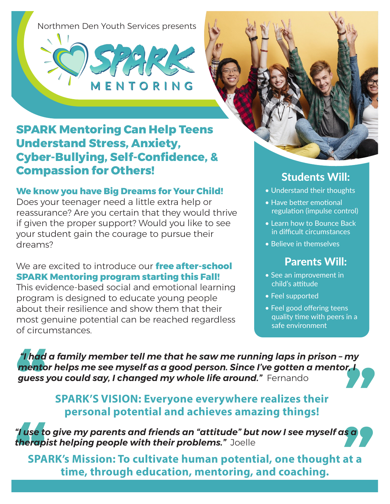Northmen Den Youth Services presents





# **SPARK Mentoring Can Help Teens Understand Stress, Anxiety, Cyber-Bullying, Self-Confidence, & Compassion for Others!**

#### **We know you have Big Dreams for Your Child!**

Does your teenager need a little extra help or reassurance? Are you certain that they would thrive if given the proper support? Would you like to see your student gain the courage to pursue their dreams?

#### We are excited to introduce our **free after-school SPARK Mentoring program starting this Fall!**

This evidence-based social and emotional learning program is designed to educate young people about their resilience and show them that their most genuine potential can be reached regardless of circumstances.

# Students Will:

- Understand their thoughts
- Have better emotional regulation (impulse control)
- Learn how to Bounce Back in difficult circumstances
- Believe in themselves

# Parents Will:

- See an improvement in child's attitude
- Feel supported
- Feel good offering teens quality time with peers in a safe environment

 *"I had a family member tell me that he saw me running laps in prison – my mentor helps me see myself as a good person. Since I've gotten a mentor, I guess you could say, I changed my whole life around."* Fernando

### **SPARK'S VISION: Everyone everywhere realizes their personal potential and achieves amazing things!**

*"I use to give my parents and friends an "attitude" but now I see myself as a therapist helping people with their problems."* Joelle

**SPARK's Mission: To cultivate human potential, one thought at a time, through education, mentoring, and coaching.**